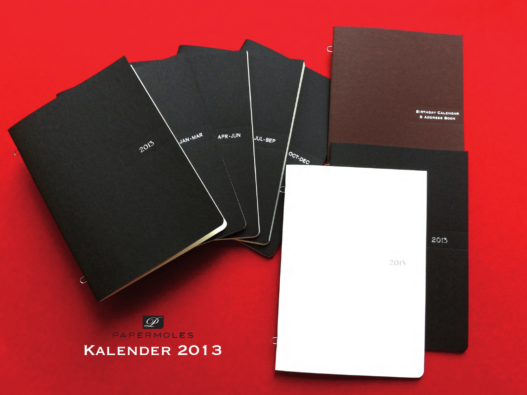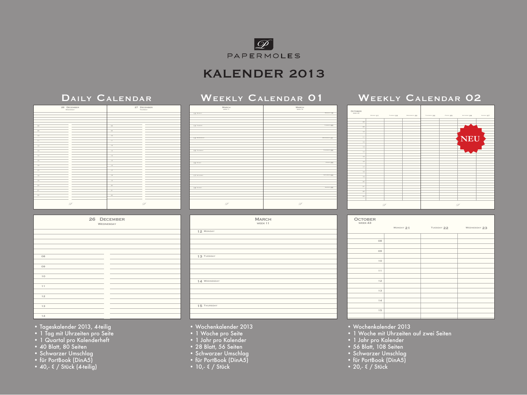

# KALENDER 2013

## DAILY CALENDAR WEEKLY CALENDAR 01

### *P* 08 09 10 12 13 14 15 16 18 19 20 21 22 *P* 26 DECEMBER 08 09 10 11 12 13 14 15 16 17 18 19 20 21 22 27 DECEMBER

| 26 DECEMBER<br>WEDNESDAY |  |  |  |  |  |
|--------------------------|--|--|--|--|--|
|                          |  |  |  |  |  |
|                          |  |  |  |  |  |
|                          |  |  |  |  |  |
|                          |  |  |  |  |  |
|                          |  |  |  |  |  |
| 08                       |  |  |  |  |  |
|                          |  |  |  |  |  |
| O <sub>9</sub>           |  |  |  |  |  |
|                          |  |  |  |  |  |
| 10                       |  |  |  |  |  |
|                          |  |  |  |  |  |
| 11                       |  |  |  |  |  |
|                          |  |  |  |  |  |
| 12                       |  |  |  |  |  |
|                          |  |  |  |  |  |
| 13                       |  |  |  |  |  |
|                          |  |  |  |  |  |
| 14                       |  |  |  |  |  |

| MARCH<br>WEEK 11 | $\begin{array}{c} \text{MARCH} \\ \text{WENE} \text{ 12} \end{array}$ |
|------------------|-----------------------------------------------------------------------|
| 12 MONDAY        | MONDAY 19                                                             |
|                  |                                                                       |
|                  |                                                                       |
|                  |                                                                       |
|                  |                                                                       |
| 13 TUESDAY       | TUESDAY 20                                                            |
|                  |                                                                       |
|                  |                                                                       |
|                  |                                                                       |
|                  |                                                                       |
| 14 WEDNESDAY     | WEDNESDAY 21                                                          |
|                  |                                                                       |
|                  |                                                                       |
|                  |                                                                       |
|                  |                                                                       |
| 15 THURSDAY      | THURSDAY 22                                                           |
|                  |                                                                       |
|                  |                                                                       |
|                  |                                                                       |
|                  |                                                                       |
| 16 FRIDAY        | FRIDAY 23                                                             |
|                  |                                                                       |
|                  |                                                                       |
|                  |                                                                       |
|                  | SATURDAY 24                                                           |
| 17 SATURDAY      |                                                                       |
|                  |                                                                       |
|                  |                                                                       |
|                  |                                                                       |
| 18 SUNDAY        | SUNDAY 25                                                             |
|                  |                                                                       |
|                  |                                                                       |
|                  |                                                                       |
|                  |                                                                       |
|                  |                                                                       |
|                  |                                                                       |
| $\mathscr{D}$    | D                                                                     |
|                  |                                                                       |
|                  |                                                                       |

# week 11 **MARCH**  12 Monday 13 TUESDAY 14 WEDNESDAY 15 THURSDAY

## 08 09 10 11 12 13 14 Monday 21 TUESDAY 22 WEDNESDAY 23 OCTOBER<br>WEEK 43

*P*

**NEU**

WEEKLY CALENDAR 02

Thursday 22  $\frac{1}{2}$  Friday 24  $\frac{1}{2}$  Friday 25  $\frac{1}{2}$   $\frac{1}{2}$   $\frac{1}{2}$   $\frac{1}{2}$   $\frac{1}{2}$   $\frac{1}{2}$   $\frac{1}{2}$   $\frac{1}{2}$   $\frac{1}{2}$   $\frac{1}{2}$   $\frac{1}{2}$   $\frac{1}{2}$   $\frac{1}{2}$   $\frac{1}{2}$   $\frac{1}{2}$   $\frac{1}{2}$   $\frac{1}{2}$ 

- Tageskalender 2013, 4-teilig
- 1 Tag mit Uhrzeiten pro Seite
- 1 Quartal pro Kalenderheft
- 40 Blatt, 80 Seiten
- Schwarzer Umschlag 18
- für PortBook (DinA5)
- 40,- € / Stück (4-teilig)
- Wochenkalender 2013
- 1 Woche pro Seite
- 1 Jahr pro Kalender
- 28 Blatt, 56 Seiten
- Schwarzer Umschlag
- für PortBook (DinA5)
- 10,- € / Stück

• Wochenkalender 2013

15

*P*

MONDAY 21 TUESDAY 22 WEDNESDAY 23

OCTOBER<br>week 43

- 17 1 Woche mit Uhrzeiten auf zwei Seiten
- 1 Jahr pro Kalender
- 56 Blatt, 108 Seiten
- Schwarzer Umschlag
- für PortBook (DinA5)
- 20,- € / Stück